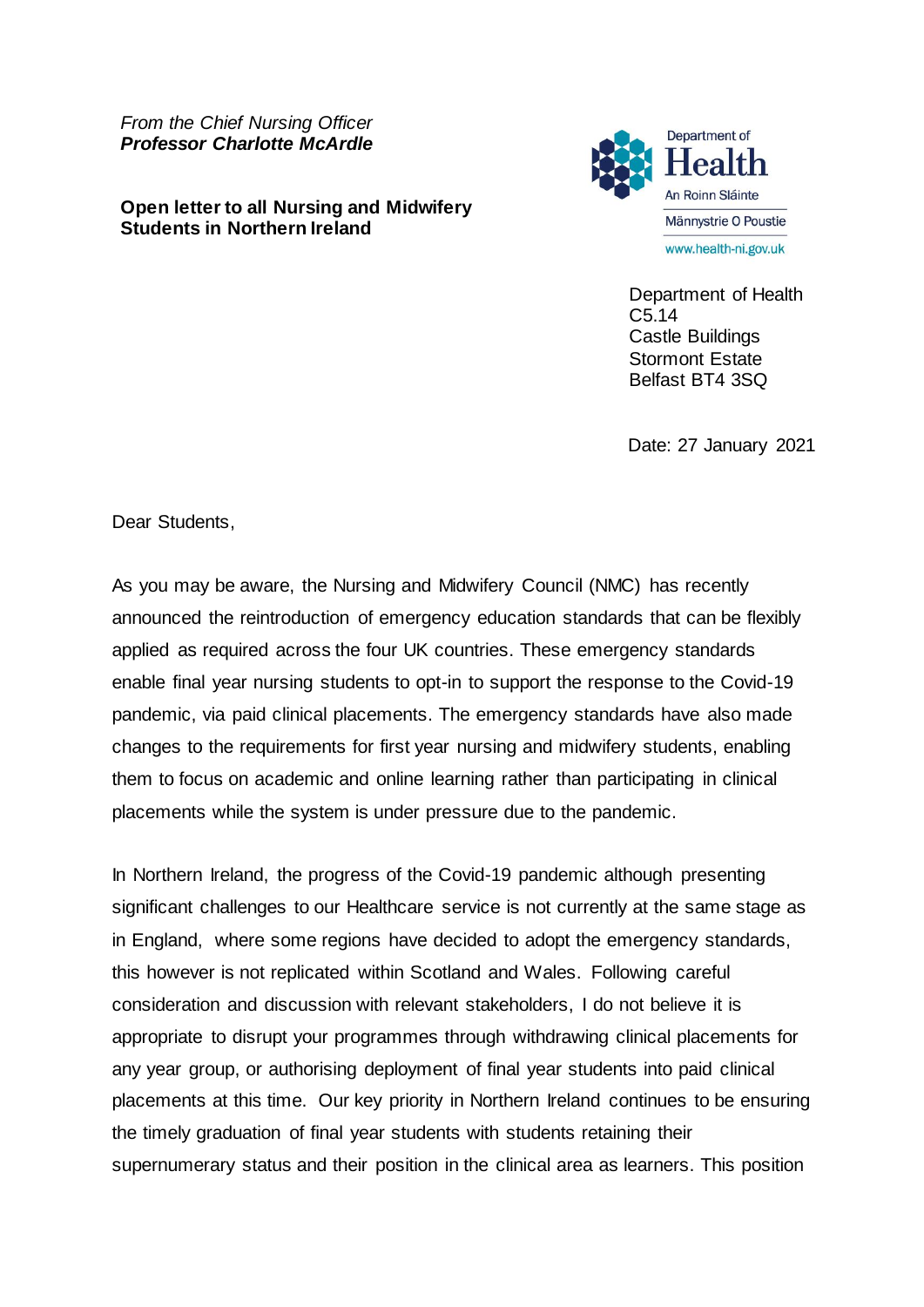*From the Chief Nursing Officer Professor Charlotte McArdle*

**Open letter to all Nursing and Midwifery Students in Northern Ireland**



Department of Health C5.14 Castle Buildings Stormont Estate Belfast BT4 3SQ

Date: 27 January 2021

Dear Students,

As you may be aware, the Nursing and Midwifery Council (NMC) has recently announced the reintroduction of emergency education standards that can be flexibly applied as required across the four UK countries. These emergency standards enable final year nursing students to opt-in to support the response to the Covid-19 pandemic, via paid clinical placements. The emergency standards have also made changes to the requirements for first year nursing and midwifery students, enabling them to focus on academic and online learning rather than participating in clinical placements while the system is under pressure due to the pandemic.

In Northern Ireland, the progress of the Covid-19 pandemic although presenting significant challenges to our Healthcare service is not currently at the same stage as in England, where some regions have decided to adopt the emergency standards, this however is not replicated within Scotland and Wales. Following careful consideration and discussion with relevant stakeholders, I do not believe it is appropriate to disrupt your programmes through withdrawing clinical placements for any year group, or authorising deployment of final year students into paid clinical placements at this time. Our key priority in Northern Ireland continues to be ensuring the timely graduation of final year students with students retaining their supernumerary status and their position in the clinical area as learners. This position